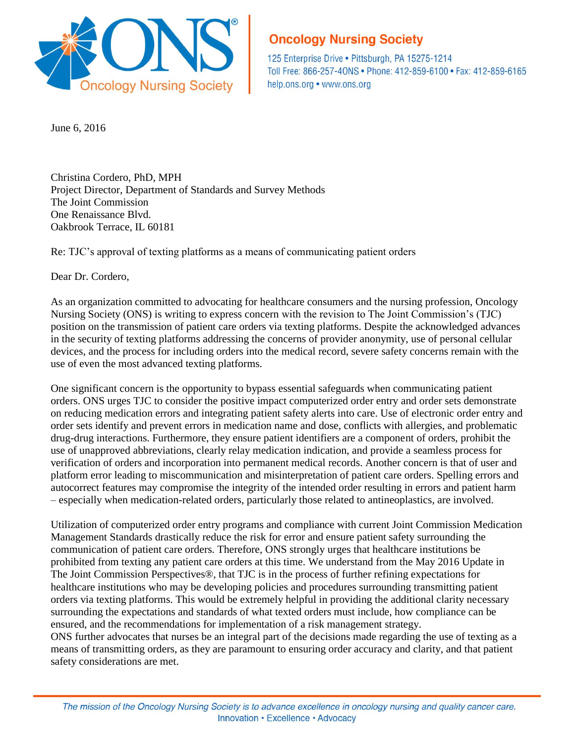

## **Oncology Nursing Society**

125 Enterprise Drive . Pittsburgh, PA 15275-1214 Toll Free: 866-257-40NS · Phone: 412-859-6100 · Fax: 412-859-6165 help.ons.org • www.ons.org

June 6, 2016

Christina Cordero, PhD, MPH Project Director, Department of Standards and Survey Methods The Joint Commission One Renaissance Blvd. Oakbrook Terrace, IL 60181

Re: TJC's approval of texting platforms as a means of communicating patient orders

Dear Dr. Cordero,

As an organization committed to advocating for healthcare consumers and the nursing profession, Oncology Nursing Society (ONS) is writing to express concern with the revision to The Joint Commission's (TJC) position on the transmission of patient care orders via texting platforms. Despite the acknowledged advances in the security of texting platforms addressing the concerns of provider anonymity, use of personal cellular devices, and the process for including orders into the medical record, severe safety concerns remain with the use of even the most advanced texting platforms.

One significant concern is the opportunity to bypass essential safeguards when communicating patient orders. ONS urges TJC to consider the positive impact computerized order entry and order sets demonstrate on reducing medication errors and integrating patient safety alerts into care. Use of electronic order entry and order sets identify and prevent errors in medication name and dose, conflicts with allergies, and problematic drug-drug interactions. Furthermore, they ensure patient identifiers are a component of orders, prohibit the use of unapproved abbreviations, clearly relay medication indication, and provide a seamless process for verification of orders and incorporation into permanent medical records. Another concern is that of user and platform error leading to miscommunication and misinterpretation of patient care orders. Spelling errors and autocorrect features may compromise the integrity of the intended order resulting in errors and patient harm – especially when medication-related orders, particularly those related to antineoplastics, are involved.

Utilization of computerized order entry programs and compliance with current Joint Commission Medication Management Standards drastically reduce the risk for error and ensure patient safety surrounding the communication of patient care orders. Therefore, ONS strongly urges that healthcare institutions be prohibited from texting any patient care orders at this time. We understand from the May 2016 Update in The Joint Commission Perspectives®, that TJC is in the process of further refining expectations for healthcare institutions who may be developing policies and procedures surrounding transmitting patient orders via texting platforms. This would be extremely helpful in providing the additional clarity necessary surrounding the expectations and standards of what texted orders must include, how compliance can be ensured, and the recommendations for implementation of a risk management strategy.

ONS further advocates that nurses be an integral part of the decisions made regarding the use of texting as a means of transmitting orders, as they are paramount to ensuring order accuracy and clarity, and that patient safety considerations are met.